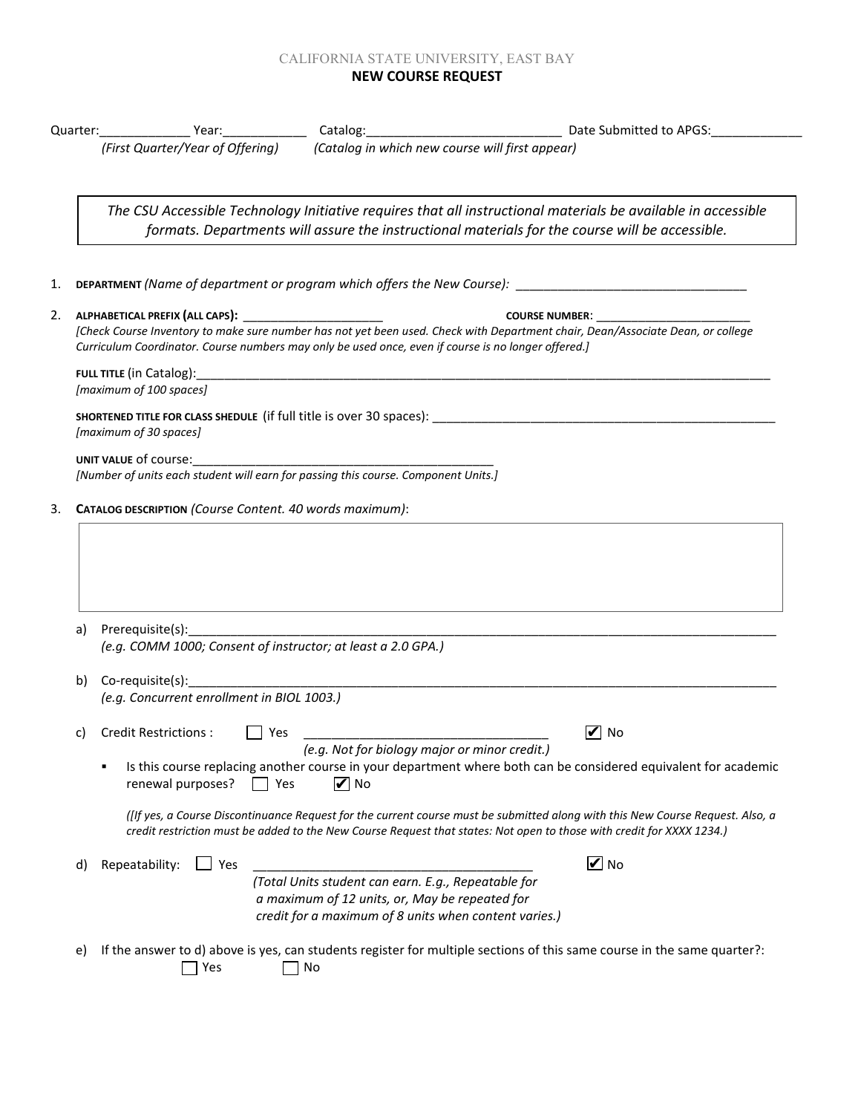## CALIFORNIA STATE UNIVERSITY, EAST BAY **NEW COURSE REQUEST**

| Quarter: Fall |                                                                                                                                                                                                                                                        | Year: 2015                          | Catalog: 2015-2016                                                                                                                                             | Date Submitted to APGS:                                                                                                                                                                                                                                                           |  |  |  |  |  |
|---------------|--------------------------------------------------------------------------------------------------------------------------------------------------------------------------------------------------------------------------------------------------------|-------------------------------------|----------------------------------------------------------------------------------------------------------------------------------------------------------------|-----------------------------------------------------------------------------------------------------------------------------------------------------------------------------------------------------------------------------------------------------------------------------------|--|--|--|--|--|
|               |                                                                                                                                                                                                                                                        | (First Quarter/Year of Offering)    | (Catalog in which new course will first appear)                                                                                                                |                                                                                                                                                                                                                                                                                   |  |  |  |  |  |
|               |                                                                                                                                                                                                                                                        |                                     | formats. Departments will assure the instructional materials for the course will be accessible.                                                                | The CSU Accessible Technology Initiative requires that all instructional materials be available in accessible                                                                                                                                                                     |  |  |  |  |  |
|               | DEPARTMENT (Name of department or program which offers the New Course): Sociology & Social Services                                                                                                                                                    |                                     |                                                                                                                                                                |                                                                                                                                                                                                                                                                                   |  |  |  |  |  |
| 2.            |                                                                                                                                                                                                                                                        | ALPHABETICAL PREFIX (ALL CAPS): SOC | Curriculum Coordinator. Course numbers may only be used once, even if course is no longer offered.]                                                            | COURSE NUMBER: 3614<br>[Check Course Inventory to make sure number has not yet been used. Check with Department chair, Dean/Associate Dean, or college                                                                                                                            |  |  |  |  |  |
|               | FULL TITLE (in Catalog): Community Engagement with Immigrant High School Students<br>[maximum of 100 spaces]                                                                                                                                           |                                     |                                                                                                                                                                |                                                                                                                                                                                                                                                                                   |  |  |  |  |  |
|               | SHORTENED TITLE FOR CLASS SHEDULE (if full title is over 30 spaces): Immigrant Community Engagement<br>[maximum of 30 spaces]                                                                                                                          |                                     |                                                                                                                                                                |                                                                                                                                                                                                                                                                                   |  |  |  |  |  |
|               | UNIT VALUE of course: 4<br>[Number of units each student will earn for passing this course. Component Units.]                                                                                                                                          |                                     |                                                                                                                                                                |                                                                                                                                                                                                                                                                                   |  |  |  |  |  |
|               | CATALOG DESCRIPTION (Course Content. 40 words maximum):                                                                                                                                                                                                |                                     |                                                                                                                                                                |                                                                                                                                                                                                                                                                                   |  |  |  |  |  |
|               |                                                                                                                                                                                                                                                        | immigrant students.                 |                                                                                                                                                                | This course probes the dynamics of immigrant experiences, explores the complications of<br>English-language acquisition, and examines immigrant acculturation into the U.S. education<br>system. Community engagement includes volunteering in a Bay Area high school that serves |  |  |  |  |  |
| a)            | Prerequisite(s): Soc 3612 recommended                                                                                                                                                                                                                  |                                     |                                                                                                                                                                |                                                                                                                                                                                                                                                                                   |  |  |  |  |  |
|               | (e.g. COMM 1000; Consent of instructor; at least a 2.0 GPA.)                                                                                                                                                                                           |                                     |                                                                                                                                                                |                                                                                                                                                                                                                                                                                   |  |  |  |  |  |
| b)            | Co-requisite(s): SOC 3612 recommended<br>(e.g. Concurrent enrollment in BIOL 1003.)                                                                                                                                                                    |                                     |                                                                                                                                                                |                                                                                                                                                                                                                                                                                   |  |  |  |  |  |
| C)            | Credit Restrictions:                                                                                                                                                                                                                                   | Yes                                 | (e.g. Not for biology major or minor credit.)                                                                                                                  | ✔ No                                                                                                                                                                                                                                                                              |  |  |  |  |  |
|               | ٠                                                                                                                                                                                                                                                      | renewal purposes?<br>Yes            | $\nabla$ No                                                                                                                                                    | Is this course replacing another course in your department where both can be considered equivalent for academic                                                                                                                                                                   |  |  |  |  |  |
|               | (If yes, a Course Discontinuance Request for the current course must be submitted along with this New Course Request. Also, a<br>credit restriction must be added to the New Course Request that states: Not open to those with credit for XXXX 1234.) |                                     |                                                                                                                                                                |                                                                                                                                                                                                                                                                                   |  |  |  |  |  |
| d)            | Repeatability:                                                                                                                                                                                                                                         | Yes                                 | (Total Units student can earn. E.g., Repeatable for<br>a maximum of 12 units, or, May be repeated for<br>credit for a maximum of 8 units when content varies.) | $\nabla$ No                                                                                                                                                                                                                                                                       |  |  |  |  |  |
| e)            |                                                                                                                                                                                                                                                        | Yes                                 | No                                                                                                                                                             | If the answer to d) above is yes, can students register for multiple sections of this same course in the same quarter?:                                                                                                                                                           |  |  |  |  |  |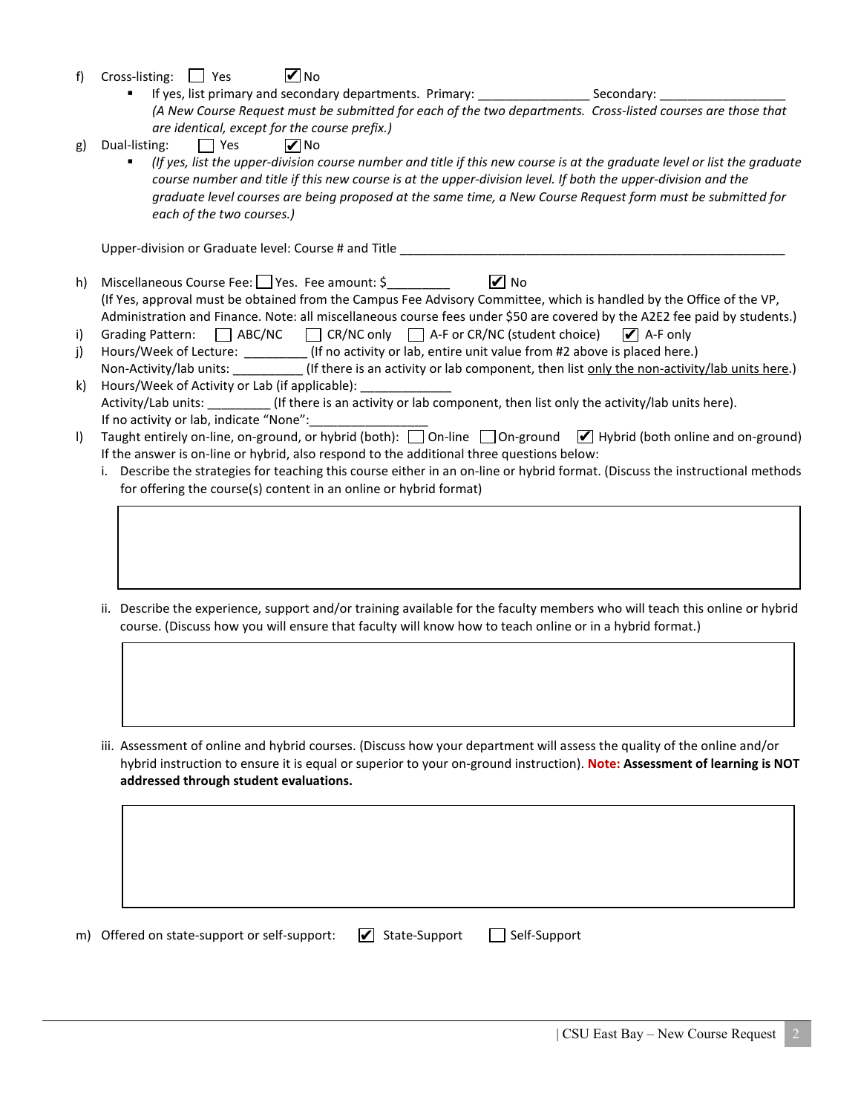- f) Cross-listing:  $\Box$  Yes **⊘**No
	- If yes, list primary and secondary departments. Primary: \_\_\_\_\_\_\_\_\_\_\_\_\_\_\_\_\_\_\_\_\_\_\_ Secondary: *(A New Course Request must be submitted for each of the two departments. Cross-listed courses are those that are identical, except for the course prefix.)*
- g) Dual-listing:  $\Box$  Yes **⊘**No
	- *(If yes, list the upper-division course number and title if this new course is at the graduate level or list the graduate course number and title if this new course is at the upper-division level. If both the upper-division and the graduate level courses are being proposed at the same time, a New Course Request form must be submitted for each of the two courses.)*

Upper-division or Graduate level: Course # and Title \_\_

h) Miscellaneous Course Fee: Yes. Fee amount: \$ (If Yes, approval must be obtained from the Campus Fee Advisory Committee, which is handled by the Office of the VP, Administration and Finance. Note: all miscellaneous course fees under \$50 are covered by the A2E2 fee paid by students.) ■ No

i) Grading Pattern:  $\Box$  ABC/NC  $\Box$  CR/NC only  $\Box$  A-F or CR/NC (student choice) A-F only

- j) Hours/Week of Lecture:  $\frac{4}{1}$  (If no activity or lab, entire unit value from #2 above is placed here.) Non-Activity/lab units: 0 \_\_\_\_\_\_\_\_ (If there is an activity or lab component, then list only the non-activity/lab units here.)
- k) Hours/Week of Activity or Lab (if applicable):  $\underline{0}$  \_\_\_\_\_\_\_\_\_\_\_ Activity/Lab units: \_\_\_\_\_\_\_\_\_ (If there is an activity or lab component, then list only the activity/lab units here). If no activity or lab, indicate "None": None
- I) Taught entirely on-line, on-ground, or hybrid (both):  $\Box$  On-line  $\Box$  On-ground  $\Box$  Hybrid (both online and on-ground) If the answer is on-line or hybrid, also respond to the additional three questions below:
	- i. Describe the strategies for teaching this course either in an on-line or hybrid format. (Discuss the instructional methods for offering the course(s) content in an online or hybrid format)

BB will be used to deliver course content for the hybrid section of the course. This includes the use of BB to: post all teaching materials (e.g., syllabi, readings, assignments, Power Point lectures); hold synchronistic and asynchronously student discussion groups and faculty/student discussions; administer quizzes and exams when appropriate, and,

ii. Describe the experience, support and/or training available for the faculty members who will teach this online or hybrid positive the experience, support and, or training available for the racalty members who will teach this course. (Discuss how you will ensure that faculty will know how to teach online or in a hybrid format.)

Faculty who teach this course and do not already have online training will utilize campus based resources for (e.g., BB support staff, Faculty Development seminars, FLC sessions) to develop and administer online courses. Moreover, several of the faculty in our department who are trained in online teaching have offered to make themselves

iii. Assessment of online and hybrid courses. (Discuss how your department will assess the quality of the online and/or hybrid instruction to ensure it is equal or superior to your on-ground instruction). **Note: Assessment of learning is NOT addressed through student evaluations.**

Course goals will capture the SLOs listed below. The assessment instrument will be an embedded course assignment or an objective exam. The instrument will be designed to measure one or more of the three SLOs, but will also measure online aspects of the course experience including, but not limited to, the capacity to comprehend and critically analyze materials delivered through an online format.

| m) Offered on state-support or self-support: | $\triangleright$ State-Support | Self-Support |
|----------------------------------------------|--------------------------------|--------------|
|----------------------------------------------|--------------------------------|--------------|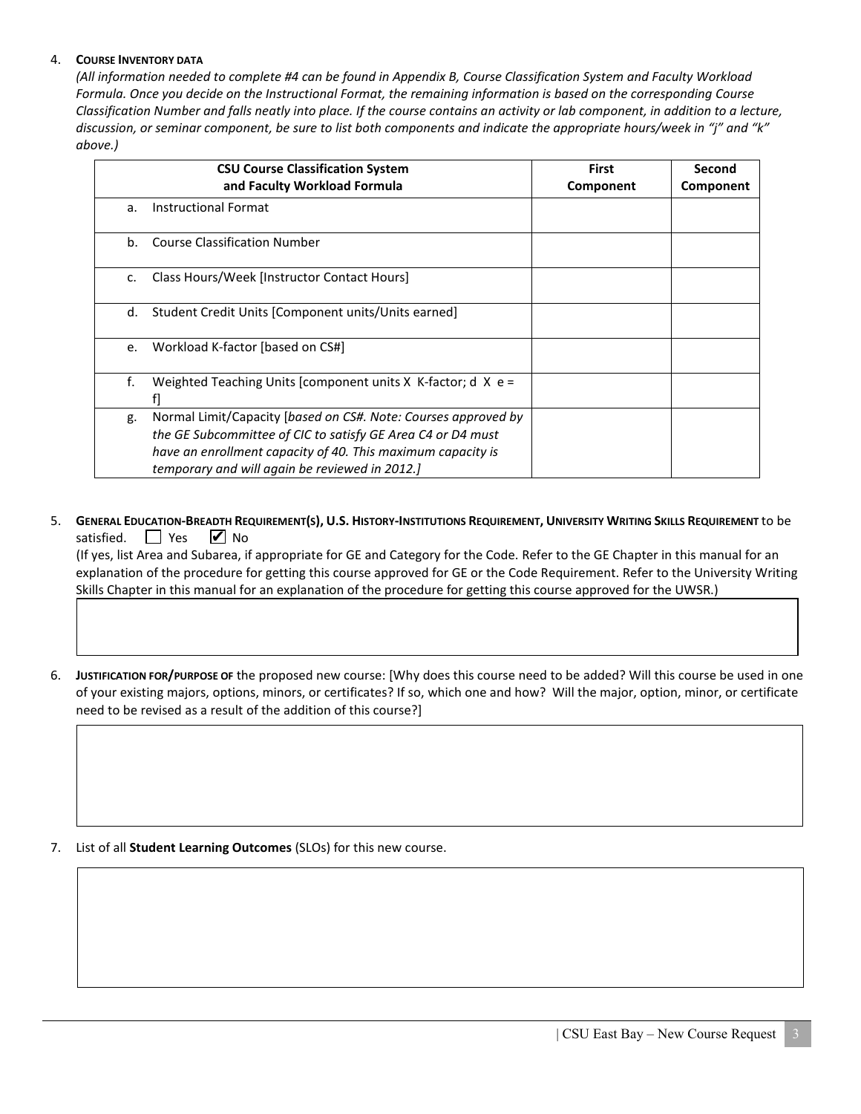## 4. **COURSE INVENTORY DATA**

*(All information needed to complete #4 can be found in Appendix B, Course Classification System and Faculty Workload Formula. Once you decide on the Instructional Format, the remaining information is based on the corresponding Course Classification Number and falls neatly into place. If the course contains an activity or lab component, in addition to a lecture, discussion, or seminar component, be sure to list both components and indicate the appropriate hours/week in "j" and "k" above.)*

|               | <b>CSU Course Classification System</b><br>and Faculty Workload Formula                                                                                                                                                                        | <b>First</b><br>Component | Second<br>Component |
|---------------|------------------------------------------------------------------------------------------------------------------------------------------------------------------------------------------------------------------------------------------------|---------------------------|---------------------|
| a.            | <b>Instructional Format</b>                                                                                                                                                                                                                    | <b>Discussion</b>         |                     |
| b.            | <b>Course Classification Number</b>                                                                                                                                                                                                            | C4                        |                     |
| $C_{\bullet}$ | Class Hours/Week [Instructor Contact Hours]                                                                                                                                                                                                    | 4                         |                     |
| d.            | Student Credit Units [Component units/Units earned]                                                                                                                                                                                            | 4                         |                     |
| e.            | Workload K-factor [based on CS#]                                                                                                                                                                                                               | 1.0                       |                     |
| f.            | Weighted Teaching Units [component units $X$ K-factor; d $X$ e =                                                                                                                                                                               | 4                         |                     |
| g.            | Normal Limit/Capacity [based on CS#. Note: Courses approved by<br>the GE Subcommittee of CIC to satisfy GE Area C4 or D4 must<br>have an enrollment capacity of 40. This maximum capacity is<br>temporary and will again be reviewed in 2012.] | 30                        |                     |

5. **GENERAL EDUCATION-BREADTH REQUIREMENT(S), U.S. HISTORY-INSTITUTIONS REQUIREMENT, UNIVERSITY WRITING SKILLS REQUIREMENT** to be satisfied.  $\Box$  Yes **⊘** No

 (If yes, list Area and Subarea, if appropriate for GE and Category for the Code. Refer to the GE Chapter in this manual for an explanation of the procedure for getting this course approved for GE or the Code Requirement. Refer to the University Writing Skills Chapter in this manual for an explanation of the procedure for getting this course approved for the UWSR.)

6. **JUSTIFICATION FOR/PURPOSE OF** the proposed new course: [Why does this course need to be added? Will this course be used in one of your existing majors, options, minors, or certificates? If so, which one and how? Will the major, option, minor, or certificate need to be revised as a result of the addition of this course?]

Dr. Austin was awarded a Community Engagement Service Learning Curriculum Development Award to create a course that links CSUEB with two local community high schools that serve immigrant students. The course strives to accomplish three goals: 1. It enhances academic learning by allowing students to apply their classroom learning and to appreciate the connections between their academic coursework and the community. 2. It contributes to civic and moral

7. List of all **Student Learning Outcomes** (SLOs) for this new course. community. 3. It contributes to professional learning by international learning students to potential careers to potential careers in the students of the students of the students of the students of the students of the stud

 $\epsilon$  SLO 2: Communication. Through the weekly class reflection and the written assignments, students will be able to effectively communicate and engage in educated, open-minded discussions of diverse sociocultural beliefs, perspectives, and norms. € SLO 3: Diversity. Through working with immigrant youth from around the world, CSUEB students will be able to embrace social diversity, critically analyze cultural representations of oppressed populations, and work toward equity and empowerment.